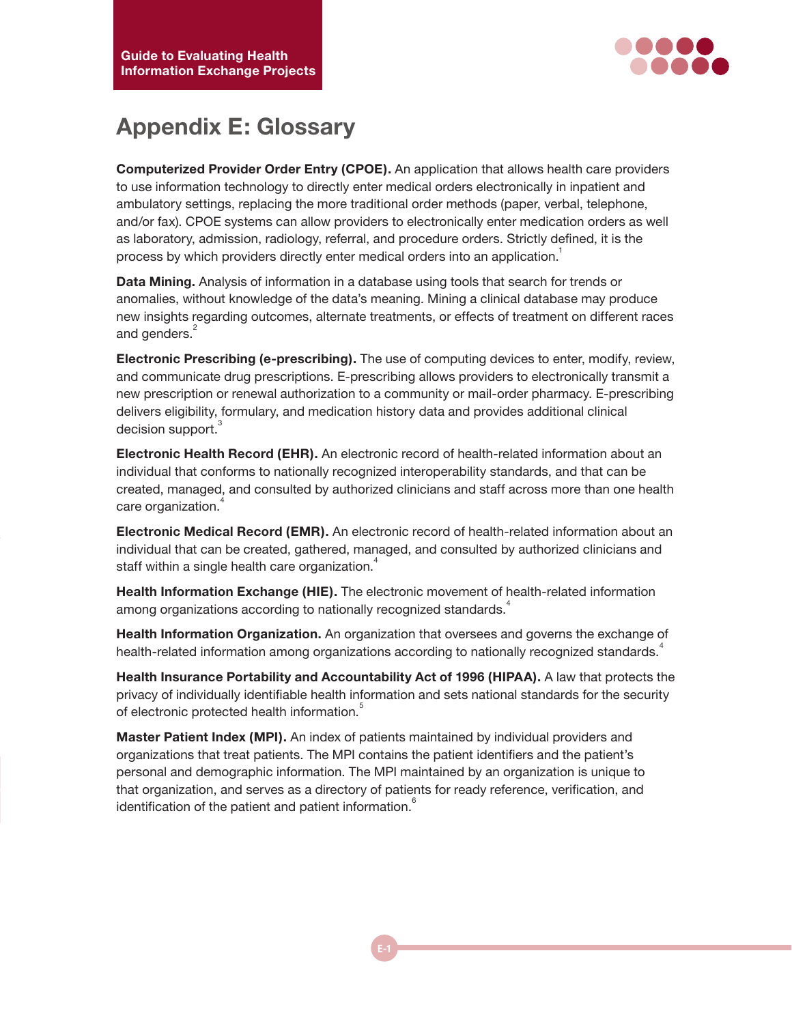

## **Appendix E: Glossary**

**Computerized Provider Order Entry (CPOE).** An application that allows health care providers to use information technology to directly enter medical orders electronically in inpatient and ambulatory settings, replacing the more traditional order methods (paper, verbal, telephone, and/or fax). CPOE systems can allow providers to electronically enter medication orders as well as laboratory, admission, radiology, referral, and procedure orders. Strictly defined, it is the process by which providers directly enter medical orders into an application.<sup>1</sup>

**Data Mining.** Analysis of information in a database using tools that search for trends or anomalies, without knowledge of the data's meaning. Mining a clinical database may produce new insights regarding outcomes, alternate treatments, or effects of treatment on different races and genders.<sup>2</sup>

**Electronic Prescribing (e-prescribing).** The use of computing devices to enter, modify, review, and communicate drug prescriptions. E-prescribing allows providers to electronically transmit a new prescription or renewal authorization to a community or mail-order pharmacy. E-prescribing delivers eligibility, formulary, and medication history data and provides additional clinical decision support.<sup>3</sup>

**Electronic Health Record (EHR).** An electronic record of health-related information about an individual that conforms to nationally recognized interoperability standards, and that can be created, managed, and consulted by authorized clinicians and staff across more than one health care organization.<sup>4</sup>

**Electronic Medical Record (EMR).** An electronic record of health-related information about an individual that can be created, gathered, managed, and consulted by authorized clinicians and staff within a single health care organization.<sup>4</sup>

**Health Information Exchange (HIE).** The electronic movement of health-related information among organizations according to nationally recognized standards.<sup>4</sup>

**Health Information Organization.** An organization that oversees and governs the exchange of health-related information among organizations according to nationally recognized standards.<sup>4</sup>

**Health Insurance Portability and Accountability Act of 1996 (HIPAA).** A law that protects the privacy of individually identifiable health information and sets national standards for the security of electronic protected health information.<sup>5</sup>

**Master Patient Index (MPI).** An index of patients maintained by individual providers and organizations that treat patients. The MPI contains the patient identifiers and the patient's personal and demographic information. The MPI maintained by an organization is unique to that organization, and serves as a directory of patients for ready reference, verification, and identification of the patient and patient information.<sup>6</sup>